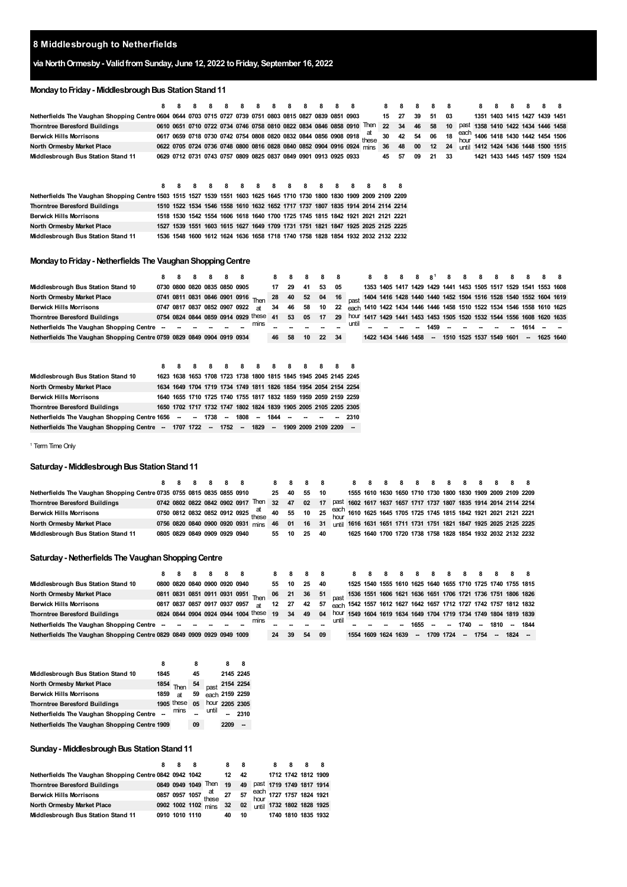### **Middlesbrough to Netherfields**

# **via NorthOrmesby- ValidfromSunday, June 12, 2022 toFriday, September 16, 2022**

# **Monday to Friday - Middlesbrough Bus Station Stand 11**

|                                                                                                                          | 8 |                                                                       |   |   |  |   |   |  |                                                                                 | 8  |    |    | 8  | 8  |             | 8 |  |                               |  |
|--------------------------------------------------------------------------------------------------------------------------|---|-----------------------------------------------------------------------|---|---|--|---|---|--|---------------------------------------------------------------------------------|----|----|----|----|----|-------------|---|--|-------------------------------|--|
| Netherfields The Vaughan Shopping Centre 0604 0644 0703 0715 0727 0739 0751 0803 0815 0827 0839 0851 0903                |   |                                                                       |   |   |  |   |   |  |                                                                                 | 15 | 27 | 39 | 51 | 03 |             |   |  | 1351 1403 1415 1427 1439 1451 |  |
| <b>Thorntree Beresford Buildings</b>                                                                                     |   | 0610 0651 0710 0722 0734 0746 0758 0810 0822 0834 0846 0858 0910      |   |   |  |   |   |  | Then                                                                            | 22 | 34 | 46 | 58 | 10 | past        |   |  | 1358 1410 1422 1434 1446 1458 |  |
| <b>Berwick Hills Morrisons</b>                                                                                           |   |                                                                       |   |   |  |   |   |  | 0617 0659 0718 0730 0742 0754 0808 0820 0832 0844 0856 0908 0918 these          | 30 | 42 | 54 | 06 | 18 | each<br>hou |   |  | 1406 1418 1430 1442 1454 1506 |  |
| North Ormesby Market Place                                                                                               |   | 0622 0705 0724 0736 0748 0800 0816 0828 0840 0852 0904 0916 0924 mins |   |   |  |   |   |  |                                                                                 | 36 | 48 | 00 | 12 | 24 | until       |   |  | 1412 1424 1436 1448 1500 1515 |  |
| Middlesbrough Bus Station Stand 11                                                                                       |   | 0629 0712 0731 0743 0757 0809 0825 0837 0849 0901 0913 0925 0933      |   |   |  |   |   |  |                                                                                 | 45 | 57 | 09 | 21 | 33 |             |   |  | 1421 1433 1445 1457 1509 1524 |  |
|                                                                                                                          | 8 | -8                                                                    | 8 | 8 |  | 8 | 8 |  |                                                                                 |    | 8  |    |    |    |             |   |  |                               |  |
| Netherfields The Vaughan Shopping Centre 1503 1515 1527 1539 1551 1603 1625 1645 1710 1730 1800 1830 1909 2009 2109 2209 |   |                                                                       |   |   |  |   |   |  |                                                                                 |    |    |    |    |    |             |   |  |                               |  |
| <b>Thorntree Beresford Buildings</b>                                                                                     |   |                                                                       |   |   |  |   |   |  | 1510 1522 1534 1546 1558 1610 1632 1652 1717 1737 1807 1835 1914 2014 2114 2214 |    |    |    |    |    |             |   |  |                               |  |
| <b>Berwick Hills Morrisons</b>                                                                                           |   |                                                                       |   |   |  |   |   |  | 1518 1530 1542 1554 1606 1618 1640 1700 1725 1745 1815 1842 1921 2021 2121 2221 |    |    |    |    |    |             |   |  |                               |  |
| North Ormesby Market Place                                                                                               |   |                                                                       |   |   |  |   |   |  | 1527 1539 1551 1603 1615 1627 1649 1709 1731 1751 1821 1847 1925 2025 2125 2225 |    |    |    |    |    |             |   |  |                               |  |
| Middlesbrough Bus Station Stand 11                                                                                       |   |                                                                       |   |   |  |   |   |  | 1536 1548 1600 1612 1624 1636 1658 1718 1740 1758 1828 1854 1932 2032 2132 2232 |    |    |    |    |    |             |   |  |                               |  |

### **Monday to Friday - Netherfields The Vaughan Shopping Centre**

|                                                                        |  |  | 8 8 8 8 8 8 |                                     | 88 |    |     | 88    |      |       |                     |  |          |  |                          |  |        | 8 8 8 8 8 1 8 8 8 8 8 8 8 8                                                                                                                                                                                                                                                                                         |  |
|------------------------------------------------------------------------|--|--|-------------|-------------------------------------|----|----|-----|-------|------|-------|---------------------|--|----------|--|--------------------------|--|--------|---------------------------------------------------------------------------------------------------------------------------------------------------------------------------------------------------------------------------------------------------------------------------------------------------------------------|--|
| Middlesbrough Bus Station Stand 10                                     |  |  |             | 0730 0800 0820 0835 0850 0905       | 17 | 29 | 41  | 53    | - 05 |       |                     |  |          |  |                          |  |        | 1353 1405 1417 1429 1429 1441 1453 1505 1517 1529 1541 1553 1608                                                                                                                                                                                                                                                    |  |
| North Ormesby Market Place                                             |  |  |             |                                     |    |    |     |       |      |       |                     |  |          |  |                          |  |        | 0741 0811 0831 0846 0901 0916 <sub>Thon</sub> 28 40 52 04 16 <sub>nost</sub> 1404 1416 1428 1440 1440 1452 1504 1516 1528 1540 1552 1604 1619                                                                                                                                                                       |  |
| <b>Berwick Hills Morrisons</b>                                         |  |  |             | 0747 0817 0837 0852 0907 0922 at    | 34 | 46 | -58 |       |      |       |                     |  |          |  |                          |  |        | 10 22 each 1410 1422 1434 1446 1446 1458 1510 1522 1534 1546 1558 1610 1625                                                                                                                                                                                                                                         |  |
| <b>Thorntree Beresford Buildings</b>                                   |  |  |             | 0754 0824 0844 0859 0914 0929 these | 41 | 53 | 05  | 17    |      |       |                     |  |          |  |                          |  |        | 29 hour 1417 1429 1441 1453 1453 1505 1520 1532 1544 1556 1608 1620 1635                                                                                                                                                                                                                                            |  |
| Netherfields The Vaughan Shopping Centre - - - - - - - - mins          |  |  |             |                                     |    |    |     |       |      | until |                     |  |          |  |                          |  |        | $\frac{1}{2}$ $\frac{1}{2}$ $\frac{1}{2}$ $\frac{1}{2}$ $\frac{1}{2}$ $\frac{1}{2}$ $\frac{1}{2}$ $\frac{1}{2}$ $\frac{1}{2}$ $\frac{1}{2}$ $\frac{1}{2}$ $\frac{1}{2}$ $\frac{1}{2}$ $\frac{1}{2}$ $\frac{1}{2}$ $\frac{1}{2}$ $\frac{1}{2}$ $\frac{1}{2}$ $\frac{1}{2}$ $\frac{1}{2}$ $\frac{1}{2}$ $\frac{1}{2}$ |  |
| Netherfields The Vaughan Shopping Centre 0759 0829 0849 0904 0919 0934 |  |  |             |                                     | 46 | 58 | 10  | 22 34 |      |       | 1422 1434 1446 1458 |  | $\sim$ . |  | 1510 1525 1537 1549 1601 |  | $\sim$ | 1625 1640                                                                                                                                                                                                                                                                                                           |  |

|                                                                                                |  |  | 8 8 8 8 8 8 8 8 8 8 8 8 8 |  |  |  |                                                                  |
|------------------------------------------------------------------------------------------------|--|--|---------------------------|--|--|--|------------------------------------------------------------------|
| Middlesbrough Bus Station Stand 10                                                             |  |  |                           |  |  |  | 1623 1638 1653 1708 1723 1738 1800 1815 1845 1945 2045 2145 2245 |
| North Ormesby Market Place                                                                     |  |  |                           |  |  |  | 1634 1649 1704 1719 1734 1749 1811 1826 1854 1954 2054 2154 2254 |
| <b>Berwick Hills Morrisons</b>                                                                 |  |  |                           |  |  |  | 1640 1655 1710 1725 1740 1755 1817 1832 1859 1959 2059 2159 2259 |
| <b>Thorntree Beresford Buildings</b>                                                           |  |  |                           |  |  |  | 1650 1702 1717 1732 1747 1802 1824 1839 1905 2005 2105 2205 2305 |
| Netherfields The Vaughan Shopping Centre 1656 -- - 1738 -- 1808 -- 1844 -- -- --               |  |  |                           |  |  |  | $-2310$                                                          |
| Netherfields The Vaughan Shopping Centre - 1707 1722 -- 1752 -- 1829 -- 1909 2009 2109 2209 -- |  |  |                           |  |  |  |                                                                  |

<span id="page-0-0"></span><sup>1</sup> Term Time Only

### **Saturday - Middlesbrough Bus Station Stand 11**

| Netherfields The Vaughan Shopping Centre 0735 0755 0815 0835 0855 0910 25 40 55 10 |  |  |                                                                                                                  |  |             |  |  |  |  |  |  | 1555 1610 1630 1650 1710 1730 1800 1830 1909 2009 2109 2209 |
|------------------------------------------------------------------------------------|--|--|------------------------------------------------------------------------------------------------------------------|--|-------------|--|--|--|--|--|--|-------------------------------------------------------------|
| <b>Thorntree Beresford Buildings</b>                                               |  |  | 0742 0802 0822 0842 0902 0917 Then 32 47 02 17 past 1602 1617 1637 1657 1717 1737 1807 1835 1914 2014 2114 2214  |  |             |  |  |  |  |  |  |                                                             |
| <b>Berwick Hills Morrisons</b>                                                     |  |  | 0750 0812 0832 0852 0912 0925 at 40 55 10 25 each 1610 1625 1645 1705 1725 1745 1815 1842 1921 2021 2121 2221    |  |             |  |  |  |  |  |  |                                                             |
| North Ormesby Market Place                                                         |  |  | 0756 0820 0840 0900 0920 0931 mins 46 01 16 31 until 1616 1631 1651 1711 1731 1751 1821 1847 1925 2025 2125 2225 |  |             |  |  |  |  |  |  |                                                             |
| Middlesbrough Bus Station Stand 11                                                 |  |  | 0805 0829 0849 0909 0929 0940                                                                                    |  | 55 10 25 40 |  |  |  |  |  |  | 1625 1640 1700 1720 1738 1758 1828 1854 1932 2032 2132 2232 |

#### **Saturday - Netherfields The Vaughan Shopping Centre**

|                                                                        |  | 8 8 8 8 8 8 |  |                               |                                                                                                                                       | 8  | 8  | 88    |      |                     | 88 | 8 |        |           |          | 888888888                                                                    |  |
|------------------------------------------------------------------------|--|-------------|--|-------------------------------|---------------------------------------------------------------------------------------------------------------------------------------|----|----|-------|------|---------------------|----|---|--------|-----------|----------|------------------------------------------------------------------------------|--|
| Middlesbrough Bus Station Stand 10                                     |  |             |  | 0800 0820 0840 0900 0920 0940 |                                                                                                                                       | 55 | 10 | 25 40 |      |                     |    |   |        |           |          | 1525 1540 1555 1610 1625 1640 1655 1710 1725 1740 1755 1815                  |  |
| North Ormesby Market Place                                             |  |             |  |                               | 0811 0831 0851 0911 0931 0951 <sub>Then</sub> 06 21 36 51 <sub>Dast</sub> 1536 1551 1606 1621 1636 1651 1706 1721 1736 1751 1806 1826 |    |    |       |      |                     |    |   |        |           |          |                                                                              |  |
| <b>Berwick Hills Morrisons</b>                                         |  |             |  |                               | 0817 0837 0857 0917 0937 0957 at                                                                                                      |    |    |       |      |                     |    |   |        |           |          | 12 27 42 57 each 1542 1557 1612 1627 1642 1657 1712 1727 1742 1757 1812 1832 |  |
| <b>Thorntree Beresford Buildings</b>                                   |  |             |  |                               | 0824 0844 0904 0924 0944 1004 these                                                                                                   | 19 | 34 |       |      |                     |    |   |        |           |          | 49 04 hour 1549 1604 1619 1634 1649 1704 1719 1734 1749 1804 1819 1839       |  |
| Netherfields The Vaughan Shopping Centre - - - - - -                   |  |             |  |                               | mins                                                                                                                                  |    |    |       |      |                     |    |   |        |           |          | until - - - - 1655 - - 1740 - 1810 - 1844                                    |  |
| Netherfields The Vaughan Shopping Centre 0829 0849 0909 0929 0949 1009 |  |             |  |                               |                                                                                                                                       | 24 | 39 | 54    | - 09 | 1554 1609 1624 1639 |    |   | $\sim$ | 1709 1724 | - 1754 - | 1824 –                                                                       |  |

|                                               | 8    |            | 8  |       |                | 8              |
|-----------------------------------------------|------|------------|----|-------|----------------|----------------|
| Middlesbrough Bus Station Stand 10            | 1845 |            | 45 |       | 2145 2245      |                |
| North Ormesby Market Place                    |      | 1854 Then  | 54 |       |                | past 2154 2254 |
| <b>Berwick Hills Morrisons</b>                | 1859 | <b>at</b>  | 59 |       | each 2159 2259 |                |
| <b>Thorntree Beresford Buildings</b>          |      | 1905 these | 05 |       | hour 2205 2305 |                |
| Netherfields The Vaughan Shopping Centre      |      | mins       |    | until |                | 2310           |
| Netherfields The Vaughan Shopping Centre 1909 |      |            | 09 |       | 2209           |                |

### **Sunday - Middlesbrough Bus Station Stand 11**

|                                                         | 8              |                                                  | 8               | 8  | $\bf{8}$            | 8 |                             |
|---------------------------------------------------------|----------------|--------------------------------------------------|-----------------|----|---------------------|---|-----------------------------|
| Netherfields The Vaughan Shopping Centre 0842 0942 1042 |                |                                                  | 12              | 42 | 1712 1742 1812 1909 |   |                             |
| <b>Thorntree Beresford Buildings</b>                    |                | 0849 0949 1049 Then 19                           |                 |    |                     |   | 49 past 1719 1749 1817 1914 |
| <b>Berwick Hills Morrisons</b>                          |                | 0857 0957 1057 at 27 57 each 1727 1757 1824 1921 |                 |    |                     |   |                             |
| North Ormesby Market Place                              |                | 0902 1002 1102 mins                              | 32 <sup>7</sup> | 02 |                     |   | until 1732 1802 1828 1925   |
| Middlesbrough Bus Station Stand 11                      | 0910 1010 1110 |                                                  | 40              | 10 |                     |   | 1740 1810 1835 1932         |